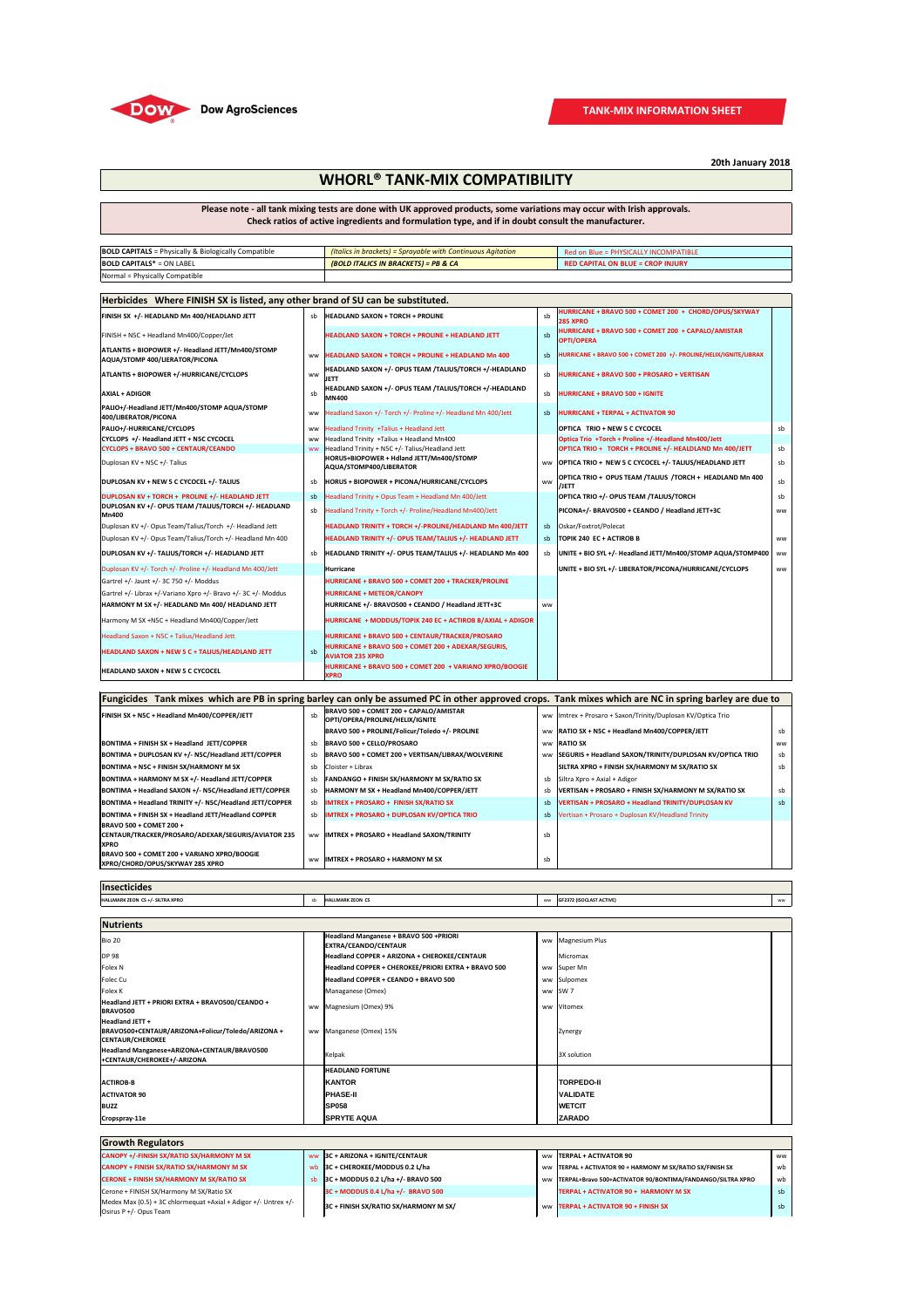| Herbicides Where FINISH SX is listed, any other brand of SU can be substituted.     |           |                                                                                |           |                                                                          |           |  |
|-------------------------------------------------------------------------------------|-----------|--------------------------------------------------------------------------------|-----------|--------------------------------------------------------------------------|-----------|--|
| FINISH SX +/- HEADLAND Mn 400/HEADLAND JETT                                         | sb        | <b>HEADLAND SAXON + TORCH + PROLINE</b>                                        | sb        | HURRICANE + BRAVO 500 + COMET 200 + CHORD/OPUS/SKYWAY<br><b>285 XPRO</b> |           |  |
| FINISH + N5C + Headland Mn400/Copper/Jet                                            |           | <b>HEADLAND SAXON + TORCH + PROLINE + HEADLAND JETT</b>                        | sb        | HURRICANE + BRAVO 500 + COMET 200 + CAPALO/AMISTAR<br><b>OPTI/OPERA</b>  |           |  |
| ATLANTIS + BIOPOWER +/- Headland JETT/Mn400/STOMP<br>AQUA/STOMP 400/LIERATOR/PICONA | <b>WW</b> | <b>HEADLAND SAXON + TORCH + PROLINE + HEADLAND Mn 400</b>                      | sb        | HURRICANE + BRAVO 500 + COMET 200 +/- PROLINE/HELIX/IGNITE/LIBRAX        |           |  |
| <b>ATLANTIS + BIOPOWER +/-HURRICANE/CYCLOPS</b>                                     | <b>WW</b> | HEADLAND SAXON +/- OPUS TEAM /TALIUS/TORCH +/-HEADLAND<br>JETT                 | sb        | HURRICANE + BRAVO 500 + PROSARO + VERTISAN                               |           |  |
| <b>AXIAL + ADIGOR</b>                                                               | sb        | HEADLAND SAXON +/- OPUS TEAM /TALIUS/TORCH +/-HEADLAND<br><b>MN400</b>         | sb        | <b>HURRICANE + BRAVO 500 + IGNITE</b>                                    |           |  |
| PALIO+/-Headland JETT/Mn400/STOMP AQUA/STOMP<br>400/LIBERATOR/PICONA                | ww        | Headland Saxon +/- Torch +/- Proline +/- Headland Mn 400/Jett                  | sb        | <b>HURRICANE + TERPAL + ACTIVATOR 90</b>                                 |           |  |
| <b>PALIO+/-HURRICANE/CYCLOPS</b>                                                    | ww        | Headland Trinity +Talius + Headland Jett                                       |           | <b>OPTICA TRIO + NEW 5 C CYCOCEL</b>                                     | sb        |  |
| CYCLOPS +/- Headland JETT + N5C CYCOCEL                                             | <b>WW</b> | Headland Trinity +Talius + Headland Mn400                                      |           | Optica Trio +Torch + Proline +/-Headland Mn400/Jett                      |           |  |
| <b>CYCLOPS + BRAVO 500 + CENTAUR/CEANDO</b>                                         | <b>WW</b> | Headland Trinity + N5C +/- Talius/Headland Jett                                |           | OPTICA TRIO + TORCH + PROLINE +/- HEALDLAND Mn 400/JETT                  | sb        |  |
| Duplosan KV + N5C +/- Talius                                                        |           | HORUS+BIOPOWER + Hdland JETT/Mn400/STOMP<br>AQUA/STOMP400/LIBERATOR            | ww        | OPTICA TRIO + NEW 5 C CYCOCEL +/- TALIUS/HEADLAND JETT                   | sb        |  |
| DUPLOSAN KV + NEW 5 C CYCOCEL +/- TALIUS                                            | sb        | HORUS + BIOPOWER + PICONA/HURRICANE/CYCLOPS                                    | <b>WW</b> | OPTICA TRIO + OPUS TEAM / TALIUS / TORCH + HEADLAND Mn 400<br>/JETT      | sb        |  |
| DUPLOSAN KV + TORCH + PROLINE +/- HEADLAND JETT                                     | sb        | Headland Trinity + Opus Team + Headland Mn 400/Jett                            |           | OPTICA TRIO +/- OPUS TEAM /TALIUS/TORCH                                  | sb        |  |
| DUPLOSAN KV +/- OPUS TEAM /TALIUS/TORCH +/- HEADLAND<br><b>Mn400</b>                | sb        | Headland Trinity + Torch +/- Proline/Headland Mn400/Jett                       |           | PICONA+/- BRAVO500 + CEANDO / Headland JETT+3C                           | <b>WW</b> |  |
| Duplosan KV +/- Opus Team/Talius/Torch +/- Headland Jett                            |           | HEADLAND TRINITY + TORCH +/-PROLINE/HEADLAND Mn 400/JETT                       | sb        | Oskar/Foxtrot/Polecat                                                    |           |  |
| Duplosan KV +/- Opus Team/Talius/Torch +/- Headland Mn 400                          |           | HEADLAND TRINITY +/- OPUS TEAM/TALIUS +/- HEADLAND JETT                        | sb        | TOPIK 240 EC + ACTIROB B                                                 | <b>WW</b> |  |
| DUPLOSAN KV +/- TALIUS/TORCH +/- HEADLAND JETT                                      | sb        | HEADLAND TRINITY +/- OPUS TEAM/TALIUS +/- HEADLAND Mn 400                      | sb        | UNITE + BIO SYL +/- Headland JETT/Mn400/STOMP AQUA/STOMP400              | ww        |  |
| Duplosan KV +/- Torch +/- Proline +/- Headland Mn 400/Jett                          |           | Hurricane                                                                      |           | UNITE + BIO SYL +/- LIBERATOR/PICONA/HURRICANE/CYCLOPS                   | <b>WW</b> |  |
| Gartrel +/- Jaunt +/- 3C 750 +/- Moddus                                             |           | HURRICANE + BRAVO 500 + COMET 200 + TRACKER/PROLINE                            |           |                                                                          |           |  |
| Gartrel +/- Librax +/-Variano Xpro +/- Bravo +/- 3C +/- Moddus                      |           | <b>HURRICANE + METEOR/CANOPY</b>                                               |           |                                                                          |           |  |
| HARMONY M SX +/- HEADLAND Mn 400/ HEADLAND JETT                                     |           | HURRICANE +/- BRAVO500 + CEANDO / Headland JETT+3C                             | <b>WW</b> |                                                                          |           |  |
| Harmony M SX +N5C + Headland Mn400/Copper/Jett                                      |           | HURRICANE + MODDUS/TOPIK 240 EC + ACTIROB B/AXIAL + ADIGOR                     |           |                                                                          |           |  |
| Headland Saxon + N5C + Talius/Headland Jett                                         |           | HURRICANE + BRAVO 500 + CENTAUR/TRACKER/PROSARO                                |           |                                                                          |           |  |
| <b>HEADLAND SAXON + NEW 5 C + TALIUS/HEADLAND JETT</b>                              | sb        | HURRICANE + BRAVO 500 + COMET 200 + ADEXAR/SEGURIS,<br><b>AVIATOR 235 XPRO</b> |           |                                                                          |           |  |
| <b>HEADLAND SAXON + NEW 5 C CYCOCEL</b>                                             |           | HURRICANE + BRAVO 500 + COMET 200 + VARIANO XPRO/BOOGIE<br><b>XPRO</b>         |           |                                                                          |           |  |

| $\vert$ <b>BOLD CAPITALS</b> = Physically & Biologically Compatible | (Italics in brackets) = Sprayable with Continuous Agitation | Red on Blue = PHYSICALLY INCOMPATIBLE    |
|---------------------------------------------------------------------|-------------------------------------------------------------|------------------------------------------|
| $ BOLD$ CAPITALS $* = ON$ LABEL                                     | (BOLD ITALICS IN BRACKETS) = PB & CA                        | <b>RED CAPITAL ON BLUE = CROP INJURY</b> |
| Normal = Physically Compatible                                      |                                                             |                                          |

| .<br><i><b>Insecticides</b></i>  |  |                         |           |                                 |    |
|----------------------------------|--|-------------------------|-----------|---------------------------------|----|
| HALLMARK ZEON CS +/- SILTRA XPRO |  | <b>HALLMARK ZEON CS</b> | <b>WW</b> | <b>GF2372 (ISOCLAST ACTIVE)</b> | ww |

| Fungicides Tank mixes which are PB in spring barley can only be assumed PC in other approved crops. Tank mixes which are NC in spring barley are due to |           |                                                                           |           |                                                              |           |  |
|---------------------------------------------------------------------------------------------------------------------------------------------------------|-----------|---------------------------------------------------------------------------|-----------|--------------------------------------------------------------|-----------|--|
| <b>FINISH SX + N5C + Headland Mn400/COPPER/JETT</b>                                                                                                     | sb        | BRAVO 500 + COMET 200 + CAPALO/AMISTAR<br>OPTI/OPERA/PROLINE/HELIX/IGNITE |           | ww  Imtrex + Prosaro + Saxon/Trinity/Duplosan KV/Optica Trio |           |  |
|                                                                                                                                                         |           | BRAVO 500 + PROLINE/Folicur/Toledo +/- PROLINE                            | <b>WW</b> | RATIO SX + N5C + Headland Mn400/COPPER/JETT                  | sb        |  |
| BONTIMA + FINISH SX + Headland JETT/COPPER                                                                                                              | sb        | <b>BRAVO 500 + CELLO/PROSARO</b>                                          | <b>WW</b> | <b>RATIO SX</b>                                              | <b>WW</b> |  |
| BONTIMA + DUPLOSAN KV +/- N5C/Headland JETT/COPPER                                                                                                      | sb        | BRAVO 500 + COMET 200 + VERTISAN/LIBRAX/WOLVERINE                         | <b>WW</b> | SEGURIS + Headland SAXON/TRINITY/DUPLOSAN KV/OPTICA TRIO     | sb        |  |
| <b>BONTIMA + N5C + FINISH SX/HARMONY M SX</b>                                                                                                           | sb        | Cloister + Librax                                                         |           | SILTRA XPRO + FINISH SX/HARMONY M SX/RATIO SX                | sb        |  |
| BONTIMA + HARMONY M SX +/- Headland JETT/COPPER                                                                                                         | sb        | <b>FANDANGO + FINISH SX/HARMONY M SX/RATIO SX</b>                         | sb        | Siltra Xpro + Axial + Adigor                                 |           |  |
| BONTIMA + Headland SAXON +/- N5C/Headland JETT/COPPER                                                                                                   | sb        | HARMONY M SX + Headland Mn400/COPPER/JETT                                 | sb        | VERTISAN + PROSARO + FINISH SX/HARMONY M SX/RATIO SX         | sb        |  |
| BONTIMA + Headland TRINITY +/- N5C/Headland JETT/COPPER                                                                                                 | sb        | <b>IMTREX + PROSARO + FINISH SX/RATIO SX</b>                              | sb        | <b>VERTISAN + PROSARO + Headland TRINITY/DUPLOSAN KV</b>     | sb        |  |
| BONTIMA + FINISH SX + Headland JETT/Headland COPPER                                                                                                     | sb        | IMTREX + PROSARO + DUPLOSAN KV/OPTICA TRIO                                | sb        | Vertisan + Prosaro + Duplosan KV/Headland Trinity            |           |  |
| <b>BRAVO 500 + COMET 200 +</b><br>CENTAUR/TRACKER/PROSARO/ADEXAR/SEGURIS/AVIATOR 235<br><b>XPRO</b>                                                     | <b>WW</b> | <b>IMTREX + PROSARO + Headland SAXON/TRINITY</b>                          | sb        |                                                              |           |  |
| BRAVO 500 + COMET 200 + VARIANO XPRO/BOOGIE<br> XPRO/CHORD/OPUS/SKYWAY 285 XPRO                                                                         | <b>WW</b> | <b>IMTREX + PROSARO + HARMONY M SX</b>                                    | sb        |                                                              |           |  |

| <b>Nutrients</b>                                                                                       |  |                                                                       |           |                     |  |  |
|--------------------------------------------------------------------------------------------------------|--|-----------------------------------------------------------------------|-----------|---------------------|--|--|
| Bio 20                                                                                                 |  | <b>Headland Manganese + BRAVO 500 +PRIORI</b><br>EXTRA/CEANDO/CENTAUR |           | ww   Magnesium Plus |  |  |
| <b>DP 98</b>                                                                                           |  | Headland COPPER + ARIZONA + CHEROKEE/CENTAUR                          |           | Micromax            |  |  |
| Folex N                                                                                                |  | Headland COPPER + CHEROKEE/PRIORI EXTRA + BRAVO 500                   |           | ww Super Mn         |  |  |
| Folec Cu                                                                                               |  | Headland COPPER + CEANDO + BRAVO 500                                  |           | ww Sulpomex         |  |  |
| Folex K                                                                                                |  | Managanese (Omex)                                                     |           | ww SW7              |  |  |
| Headland JETT + PRIORI EXTRA + BRAVO500/CEANDO +<br><b>BRAVO500</b>                                    |  | ww Magnesium (Omex) 9%                                                | <b>WW</b> | Vitomex             |  |  |
| <b>Headland JETT +</b><br>BRAVO500+CENTAUR/ARIZONA+Folicur/Toledo/ARIZONA +<br><b>CENTAUR/CHEROKEE</b> |  | ww Manganese (Omex) 15%                                               |           | Zynergy             |  |  |
| Headland Manganese+ARIZONA+CENTAUR/BRAVO500<br>+CENTAUR/CHEROKEE+/-ARIZONA                             |  | Kelpak                                                                |           | 3X solution         |  |  |
|                                                                                                        |  | <b>HEADLAND FORTUNE</b>                                               |           |                     |  |  |
| <b>ACTIROB-B</b>                                                                                       |  | <b>KANTOR</b>                                                         |           | <b>TORPEDO-II</b>   |  |  |
| <b>ACTIVATOR 90</b>                                                                                    |  | <b>PHASE-II</b>                                                       |           | <b>VALIDATE</b>     |  |  |
| <b>BUZZ</b>                                                                                            |  | <b>SP058</b>                                                          |           | <b>WETCIT</b>       |  |  |
| Cropspray-11e                                                                                          |  | <b>SPRYTE AQUA</b>                                                    |           | <b>ZARADO</b>       |  |  |

| <b>Growth Regulators</b>                         |  |                                        |  |                                                             |           |
|--------------------------------------------------|--|----------------------------------------|--|-------------------------------------------------------------|-----------|
| <b>CANOPY +/-FINISH SX/RATIO SX/HARMONY M SX</b> |  | ww  3C + ARIZONA + IGNITE/CENTAUR      |  | ww ITERPAL + ACTIVATOR 90                                   | <b>WW</b> |
| <b>CANOPY + FINISH SX/RATIO SX/HARMONY M SX</b>  |  | $\sqrt{3C + CHEROKEE/MODDUS 0.2 L/ha}$ |  | ww  TERPAL + ACTIVATOR 90 + HARMONY M SX/RATIO SX/FINISH SX | wb        |

| $\overline{C}$ ERONE + FINISH SX/HARMONY M SX/RATIO SX                                              | $ 3C + MODDUS 0.2 L/ha +/- BRAVO 500$       | ww  TERPAL+Bravo 500+ACTIVATOR 90/BONTIMA/FANDANGO/SILTRA XPRO] | wb  |
|-----------------------------------------------------------------------------------------------------|---------------------------------------------|-----------------------------------------------------------------|-----|
| Cerone + FINISH SX/Harmony M SX/Ratio SX                                                            | 3C + MODDUS 0.4 L/ha +/- BRAVO 500          | <b>TERPAL + ACTIVATOR 90 + HARMONY M SX</b>                     | -sb |
| Medex Max $(0.5) + 3C$ chlormequat $+Axial + Adigor +f$ - Untrex $+f$ -<br>Osirus P $+/-$ Opus Team | $ 3C + FINISH S X/RATIO S X/HARMONY M S X/$ | WW TERPAL + ACTIVATOR 90 + FINISH SX                            |     |

**20th January 2018**

## **WHORL® TANK-MIX COMPATIBILITY**

**Please note - all tank mixing tests are done with UK approved products, some variations may occur with Irish approvals. Check ratios of active ingredients and formulation type, and if in doubt consult the manufacturer.**